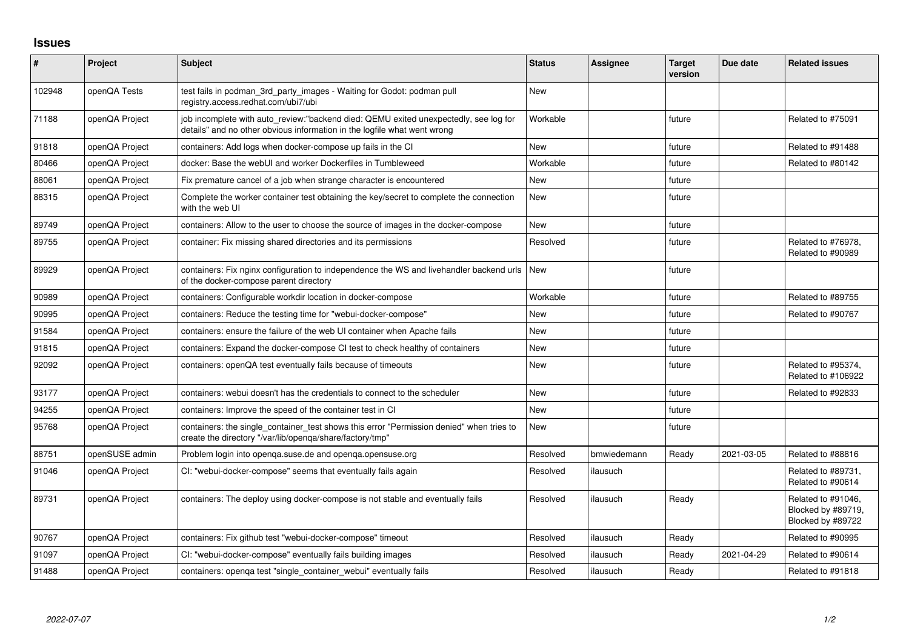## **Issues**

| $\vert$ # | Project        | Subject                                                                                                                                                          | <b>Status</b> | Assignee    | <b>Target</b><br>version | Due date   | <b>Related issues</b>                                         |
|-----------|----------------|------------------------------------------------------------------------------------------------------------------------------------------------------------------|---------------|-------------|--------------------------|------------|---------------------------------------------------------------|
| 102948    | openQA Tests   | test fails in podman_3rd_party_images - Waiting for Godot: podman pull<br>registry.access.redhat.com/ubi7/ubi                                                    | <b>New</b>    |             |                          |            |                                                               |
| 71188     | openQA Project | job incomplete with auto_review:"backend died: QEMU exited unexpectedly, see log for<br>details" and no other obvious information in the logfile what went wrong | Workable      |             | future                   |            | Related to #75091                                             |
| 91818     | openQA Project | containers: Add logs when docker-compose up fails in the CI                                                                                                      | <b>New</b>    |             | future                   |            | Related to #91488                                             |
| 80466     | openQA Project | docker: Base the webUI and worker Dockerfiles in Tumbleweed                                                                                                      | Workable      |             | future                   |            | Related to #80142                                             |
| 88061     | openQA Project | Fix premature cancel of a job when strange character is encountered                                                                                              | New           |             | future                   |            |                                                               |
| 88315     | openQA Project | Complete the worker container test obtaining the key/secret to complete the connection<br>with the web UI                                                        | New           |             | future                   |            |                                                               |
| 89749     | openQA Project | containers: Allow to the user to choose the source of images in the docker-compose                                                                               | New           |             | future                   |            |                                                               |
| 89755     | openQA Project | container: Fix missing shared directories and its permissions                                                                                                    | Resolved      |             | future                   |            | Related to #76978,<br>Related to #90989                       |
| 89929     | openQA Project | containers: Fix nginx configuration to independence the WS and livehandler backend urls<br>of the docker-compose parent directory                                | <b>New</b>    |             | future                   |            |                                                               |
| 90989     | openQA Project | containers: Configurable workdir location in docker-compose                                                                                                      | Workable      |             | future                   |            | Related to #89755                                             |
| 90995     | openQA Project | containers: Reduce the testing time for "webui-docker-compose"                                                                                                   | New           |             | future                   |            | Related to #90767                                             |
| 91584     | openQA Project | containers: ensure the failure of the web UI container when Apache fails                                                                                         | New           |             | future                   |            |                                                               |
| 91815     | openQA Project | containers: Expand the docker-compose CI test to check healthy of containers                                                                                     | <b>New</b>    |             | future                   |            |                                                               |
| 92092     | openQA Project | containers: openQA test eventually fails because of timeouts                                                                                                     | <b>New</b>    |             | future                   |            | Related to #95374,<br>Related to #106922                      |
| 93177     | openQA Project | containers: webui doesn't has the credentials to connect to the scheduler                                                                                        | New           |             | future                   |            | Related to #92833                                             |
| 94255     | openQA Project | containers: Improve the speed of the container test in CI                                                                                                        | <b>New</b>    |             | future                   |            |                                                               |
| 95768     | openQA Project | containers: the single_container_test shows this error "Permission denied" when tries to<br>create the directory "/var/lib/openqa/share/factory/tmp"             | New           |             | future                   |            |                                                               |
| 88751     | openSUSE admin | Problem login into openga.suse.de and openga.opensuse.org                                                                                                        | Resolved      | bmwiedemann | Ready                    | 2021-03-05 | Related to #88816                                             |
| 91046     | openQA Project | CI: "webui-docker-compose" seems that eventually fails again                                                                                                     | Resolved      | ilausuch    |                          |            | Related to #89731,<br>Related to #90614                       |
| 89731     | openQA Project | containers: The deploy using docker-compose is not stable and eventually fails                                                                                   | Resolved      | ilausuch    | Ready                    |            | Related to #91046,<br>Blocked by #89719,<br>Blocked by #89722 |
| 90767     | openQA Project | containers: Fix github test "webui-docker-compose" timeout                                                                                                       | Resolved      | ilausuch    | Ready                    |            | Related to #90995                                             |
| 91097     | openQA Project | CI: "webui-docker-compose" eventually fails building images                                                                                                      | Resolved      | ilausuch    | Ready                    | 2021-04-29 | Related to #90614                                             |
| 91488     | openQA Project | containers: openga test "single container webui" eventually fails                                                                                                | Resolved      | ilausuch    | Ready                    |            | Related to #91818                                             |